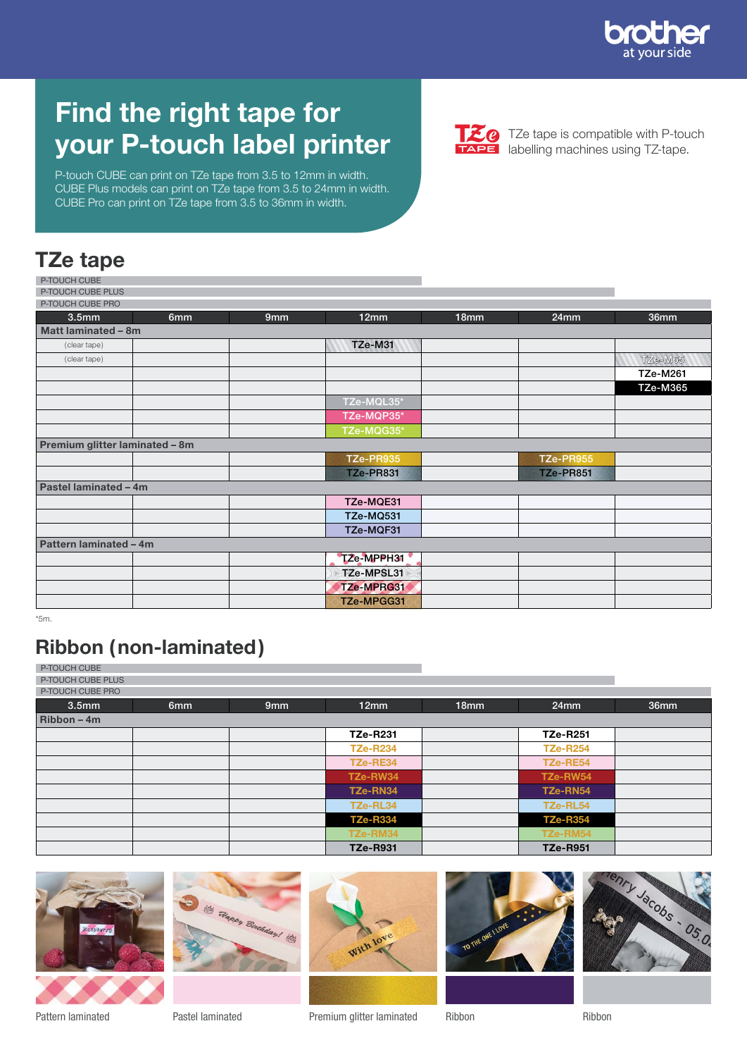

# Find the right tape for your P-touch label printer

P-touch CUBE can print on TZe tape from 3.5 to 12mm in width. CUBE Plus models can print on TZe tape from 3.5 to 24mm in width. CUBE Pro can print on TZe tape from 3.5 to 36mm in width.



**120** TZe tape is compatible with P-touch<br> **TAPE** labelling machines using TZ-tape.

#### TZe tape

| P-TOUCH CUBE                   |     |     |                  |                  |                  |                 |
|--------------------------------|-----|-----|------------------|------------------|------------------|-----------------|
| P-TOUCH CUBE PLUS              |     |     |                  |                  |                  |                 |
| P-TOUCH CUBE PRO               |     |     |                  |                  |                  |                 |
| 3.5 <sub>mm</sub>              | 6mm | 9mm | 12mm             | 18 <sub>mm</sub> | 24mm             | 36mm            |
| Matt laminated - 8m            |     |     |                  |                  |                  |                 |
| (clear tape)                   |     |     | TZe-M31          |                  |                  |                 |
| (clear tape)                   |     |     |                  |                  |                  | TZe-M65         |
|                                |     |     |                  |                  |                  | <b>TZe-M261</b> |
|                                |     |     |                  |                  |                  | <b>TZe-M365</b> |
|                                |     |     | TZe-MQL35*       |                  |                  |                 |
|                                |     |     | TZe-MQP35*       |                  |                  |                 |
|                                |     |     | TZe-MQG35*       |                  |                  |                 |
| Premium glitter laminated - 8m |     |     |                  |                  |                  |                 |
|                                |     |     | TZe-PR935        |                  | TZe-PR955        |                 |
|                                |     |     | <b>TZe-PR831</b> |                  | <b>TZe-PR851</b> |                 |
| Pastel laminated - 4m          |     |     |                  |                  |                  |                 |
|                                |     |     | TZe-MQE31        |                  |                  |                 |
|                                |     |     | TZe-MQ531        |                  |                  |                 |
|                                |     |     | TZe-MQF31        |                  |                  |                 |
| Pattern laminated - 4m         |     |     |                  |                  |                  |                 |
|                                |     |     | TZe-MPPH31       |                  |                  |                 |
|                                |     |     | TZe-MPSL31       |                  |                  |                 |
|                                |     |     | TZe-MPRG31       |                  |                  |                 |
|                                |     |     | TZe-MPGG31       |                  |                  |                 |

\*5m.

#### Ribbon (non-laminated)

P-TOUCH CUBE

P-TOUCH CUBE PLUS

| P-TOUCH CUBE PRO  |                 |                 |                 |                  |                 |      |
|-------------------|-----------------|-----------------|-----------------|------------------|-----------------|------|
| 3.5 <sub>mm</sub> | 6 <sub>mm</sub> | 9 <sub>mm</sub> | 12mm            | 18 <sub>mm</sub> | $24$ mm         | 36mm |
| Ribbon-4m         |                 |                 |                 |                  |                 |      |
|                   |                 |                 | <b>TZe-R231</b> |                  | <b>TZe-R251</b> |      |
|                   |                 |                 | <b>TZe-R234</b> |                  | <b>TZe-R254</b> |      |
|                   |                 |                 | TZe-RE34        |                  | TZe-RE54        |      |
|                   |                 |                 | TZe-RW34        |                  | TZe-RW54        |      |
|                   |                 |                 | TZe-RN34        |                  | TZe-RN54        |      |
|                   |                 |                 | TZe-RL34        |                  | TZe-RL54        |      |
|                   |                 |                 | <b>TZe-R334</b> |                  | <b>TZe-R354</b> |      |
|                   |                 |                 | TZe-RM34        |                  | TZe-RM54        |      |
|                   |                 |                 | <b>TZe-R931</b> |                  | <b>TZe-R951</b> |      |











Pattern laminated **Pastel laminated** Premium glitter laminated

Ribbon Ribbon